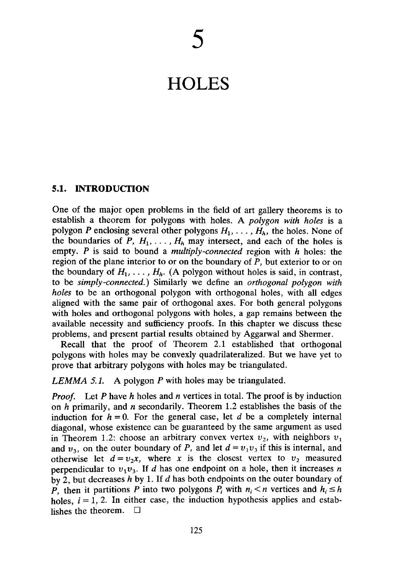# **HOLES**

# **5.1. INTRODUCTION**

One of the major open problems in the field of art gallery theorems is to establish a theorem for polygons with holes. A *polygon with holes* is a polygon P enclosing several other polygons  $H_1, \ldots, H_h$ , the holes. None of the boundaries of P,  $H_1, \ldots, H_h$  may intersect, and each of the holes is empty. P is said to bound a *multiply-connected* region with *h* holes: the region of the plane interior to or on the boundary of *P,* but exterior to or on the boundary of  $H_1, \ldots, H_h$ . (A polygon without holes is said, in contrast, to be *simply-connected.)* Similarly we define an *orthogonal polygon with holes* to be an orthogonal polygon with orthogonal holes, with all edges aligned with the same pair of orthogonal axes. For both general polygons with holes and orthogonal polygons with holes, a gap remains between the available necessity and sufficiency proofs. In this chapter we discuss these problems, and present partial results obtained by Aggarwal and Shermer.

Recall that the proof of Theorem 2.1 established that orthogonal polygons with holes may be convexly quadrilateralized. But we have yet to prove that arbitrary polygons with holes may be triangulated.

# *LEMMA 5.1.* A polygon *P* with holes may be triangulated.

*Proof.* Let *P* have *h* holes and *n* vertices in total. The proof is by induction on *h* primarily, and *n* secondarily. Theorem 1.2 establishes the basis of the induction for  $h = 0$ . For the general case, let  $d$  be a completely internal diagonal, whose existence can be guaranteed by the same argument as used in Theorem 1.2: choose an arbitrary convex vertex  $v_2$ , with neighbors  $v_1$ and  $v_3$ , on the outer boundary of P, and let  $d = v_1v_3$  if this is internal, and otherwise let  $d = v_2x$ , where x is the closest vertex to  $v_2$  measured perpendicular to  $v_1v_3$ . If *d* has one endpoint on a hole, then it increases *n* by 2, but decreases *h* by 1. If *d* has both endpoints on the outer boundary of *P*, then it partitions *P* into two polygons  $P_i$  with  $n_i < n$  vertices and  $h_i \leq h$ holes,  $i = 1, 2$ . In either case, the induction hypothesis applies and establishes the theorem.  $\Box$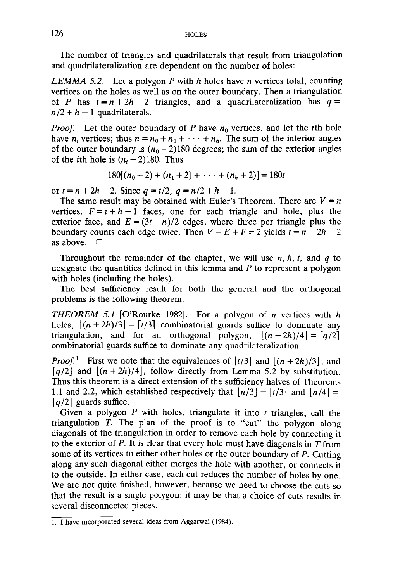The number of triangles and quadrilaterals that result from triangulation and quadrilateralization are dependent on the number of holes:

*LEMMA 5.2.* Let a polygon P with *h* holes have *n* vertices total, counting vertices on the holes as well as on the outer boundary. Then a triangulation of P has  $t = n + 2h - 2$  triangles, and a quadrilateralization has  $q =$  $n/2 + h - 1$  quadrilaterals.

*Proof.* Let the outer boundary of *P* have *n0* vertices, and let the *ith* hole have  $n_i$  vertices; thus  $n = n_0 + n_1 + \cdots + n_h$ . The sum of the interior angles of the outer boundary is  $(n_0 - 2)180$  degrees; the sum of the exterior angles of the *i*th hole is  $(n_i + 2)180$ . Thus

$$
180[(n_0-2)+(n_1+2)+\cdots+(n_h+2)]=180t
$$

*or*  $t = n + 2h - 2$ . Since  $q = t/2$ ,  $q = n/2 + h - 1$ .

The same result may be obtained with Euler's Theorem. There are  $V = n$ vertices,  $F = t + h + 1$  faces, one for each triangle and hole, plus the exterior face, and  $E = (3t + n)/2$  edges, where three per triangle plus the boundary counts each edge twice. Then  $V - E + F = 2$  yields  $t = n + 2h - 2$ as above.  $\Box$ 

Throughout the remainder of the chapter, we will use *n, h, t,* and *q* to designate the quantities defined in this lemma and *P* to represent a polygon with holes (including the holes).

The best sufficiency result for both the general and the orthogonal problems is the following theorem.

*THEOREM 5.1* [O'Rourke 1982]. For a polygon of *n* vertices with *h* holes,  $|(n + 2h)/3| = \lfloor t/3 \rfloor$  combinatorial guards suffice to dominate any triangulation, and for an orthogonal polygon,  $|(n + 2h)/4| = \frac{q}{2}$ combinatorial guards suffice to dominate any quadrilateralization.

*Proof.*<sup>1</sup> First we note that the equivalences of  $\lfloor t/3 \rfloor$  and  $\lfloor (n + 2h)/3 \rfloor$ , and  $\lceil q/2 \rceil$  and  $\lfloor (n + 2h)/4 \rfloor$ , follow directly from Lemma 5.2 by substitution. Thus this theorem is a direct extension of the sufficiency halves of Theorems 1.1 and 2.2, which established respectively that  $|n/3| = \lfloor t/3 \rfloor$  and  $|n/4| =$  $\lceil q/2 \rceil$  guards suffice.

Given a polygon *P* with holes, triangulate it into *t* triangles; call the triangulation *T.* The plan of the proof is to "cut" the polygon along diagonals of the triangulation in order to remove each hole by connecting it to the exterior of P. It is clear that every hole must have diagonals in *T* from some of its vertices to either other holes or the outer boundary of  $P$ . Cutting along any such diagonal either merges the hole with another, or connects it to the outside. In either case, each cut reduces the number of holes by one. We are not quite finished, however, because we need to choose the cuts so that the result is a single polygon: it may be that a choice of cuts results in several disconnected pieces.

<sup>1.</sup> I have incorporated several ideas from Aggarwal (1984).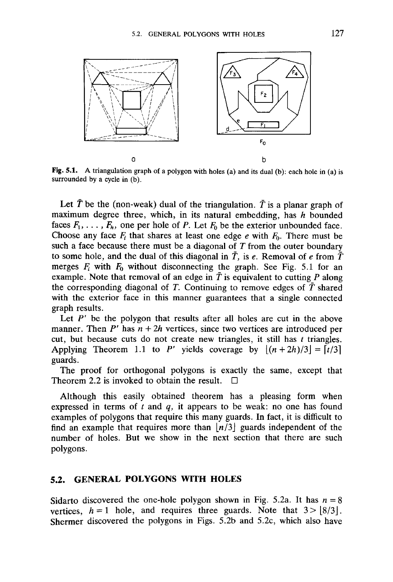

Fig. 5.1. A triangulation graph of a polygon with holes (a) and its dual (b): each hole in (a) is surrounded by a cycle in (b).

Let  $\bar{T}$  be the (non-weak) dual of the triangulation.  $\bar{T}$  is a planar graph of maximum degree three, which, in its natural embedding, has *h* bounded faces  $F_1, \ldots, F_h$ , one per hole of P. Let  $F_0$  be the exterior unbounded face. Choose any face  $F_i$  that shares at least one edge  $e$  with  $F_0$ . There must be such a face because there must be a diagonal of *T* from the outer boundary to some hole, and the dual of this diagonal in  $\overline{T}$ , is e. Removal of e from  $\overline{T}$ merges  $F_i$  with  $F_0$  without disconnecting the graph. See Fig. 5.1 for an example. Note that removal of an edge in  $\overline{T}$  is equivalent to cutting  $P$  along the corresponding diagonal of  $T$ . Continuing to remove edges of  $\overline{T}$  shared with the exterior face in this manner guarantees that a single connected graph results.

Let  $P'$  be the polygon that results after all holes are cut in the above manner. Then  $P'$  has  $n + 2h$  vertices, since two vertices are introduced per cut, but because cuts do not create new triangles, it still has *t* triangles. Applying Theorem 1.1 to P' yields coverage by  $\lfloor (n + 2h)/3 \rfloor = \lfloor t/3 \rfloor$ guards.

The proof for orthogonal polygons is exactly the same, except that Theorem 2.2 is invoked to obtain the result.  $\Box$ 

Although this easily obtained theorem has a pleasing form when expressed in terms of *t* and *q,* it appears to be weak: no one has found examples of polygons that require this many guards. In fact, it is difficult to find an example that requires more than  $\lfloor n/3 \rfloor$  guards independent of the number of holes. But we show in the next section that there are such polygons.

### **5.2. GENERAL POLYGONS WITH HOLES**

Sidarto discovered the one-hole polygon shown in Fig. 5.2a. It has  $n = 8$ vertices,  $h = 1$  hole, and requires three guards. Note that  $3 > |8/3|$ . Shermer discovered the polygons in Figs. 5.2b and 5.2c, which also have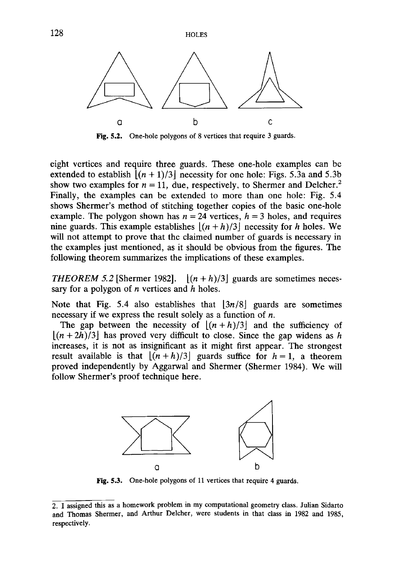128 HOLES



Fig. 5.2. One-hole polygons of 8 vertices that require 3 guards.

eight vertices and require three guards. These one-hole examples can be extended to establish  $|(n+1)/3|$  necessity for one hole: Figs. 5.3a and 5.3b show two examples for  $n = 11$ , due, respectively, to Shermer and Delcher.<sup>2</sup> Finally, the examples can be extended to more than one hole: Fig. 5.4 shows Shermer's method of stitching together copies of the basic one-hole example. The polygon shown has  $n = 24$  vertices,  $h = 3$  holes, and requires nine guards. This example establishes  $[(n+h)/3]$  necessity for *h* holes. We will not attempt to prove that the claimed number of guards is necessary in the examples just mentioned, as it should be obvious from the figures. The following theorem summarizes the implications of these examples.

*THEOREM 5.2* [Shermer 1982].  $|(n+h)/3|$  guards are sometimes necessary for a polygon of *n* vertices and *h* holes.

Note that Fig. 5.4 also establishes that  $|3n/8|$  guards are sometimes necessary if we express the result solely as a function of *n.*

The gap between the necessity of  $|(n+h)/3|$  and the sufficiency of  $[(n+2h)/3]$  has proved very difficult to close. Since the gap widens as h increases, it is not as insignificant as it might first appear. The strongest result available is that  $[(n+h)/3]$  guards suffice for  $h = 1$ , a theorem proved independently by Aggarwal and Shermer (Shermer 1984). We will follow Shermer's proof technique here.



Fig. 5.3. One-hole polygons of 11 vertices that require 4 guards.

<sup>2.</sup> I assigned this as a homework problem in my computational geometry class. Julian Sidarto and Thomas Shermer, and Arthur Delcher, were students in that class in 1982 and 1985, respectively.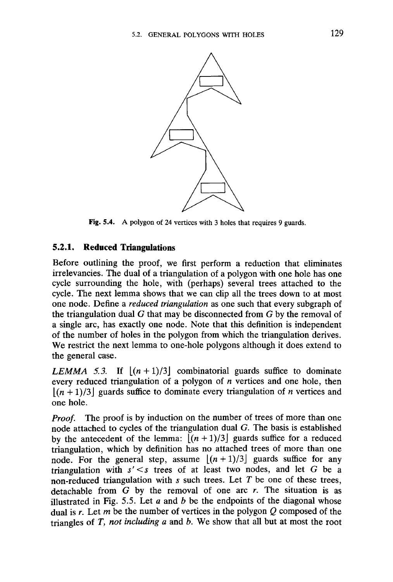

Fig. 5.4. A polygon of 24 vertices with 3 holes that requires 9 guards.

# **5.2.1. Reduced Triangulations**

Before outlining the proof, we first perform a reduction that eliminates irrelevancies. The dual of a triangulation of a polygon with one hole has one cycle surrounding the hole, with (perhaps) several trees attached to the cycle. The next lemma shows that we can clip all the trees down to at most one node. Define a *reduced triangulation* as one such that every subgraph of the triangulation dual *G* that may be disconnected from *G* by the removal of a single arc, has exactly one node. Note that this definition is independent of the number of holes in the polygon from which the triangulation derives. We restrict the next lemma to one-hole polygons although it does extend to the general case.

*LEMMA 5.3.* If  $[(n+1)/3]$  combinatorial guards suffice to dominate every reduced triangulation of a polygon of *n* vertices and one hole, then  $|(n+1)/3|$  guards suffice to dominate every triangulation of *n* vertices and one hole.

*Proof.* The proof is by induction on the number of trees of more than one node attached to cycles of the triangulation dual *G.* The basis is established by the antecedent of the lemma:  $[(n+1)/3]$  guards suffice for a reduced triangulation, which by definition has no attached trees of more than one node. For the general step, assume  $[(n+1)/3]$  guards suffice for any triangulation with *s'<s* trees of at least two nodes, and let G be a non-reduced triangulation with *s* such trees. Let *T* be one of these trees, detachable from *G* by the removal of one arc *r.* The situation is as illustrated in Fig. 5.5. Let *a* and *b* be the endpoints of the diagonal whose dual is *r.* Let *m* be the number of vertices in the polygon *Q* composed of the triangles of *T, not including a* and *b.* We show that all but at most the root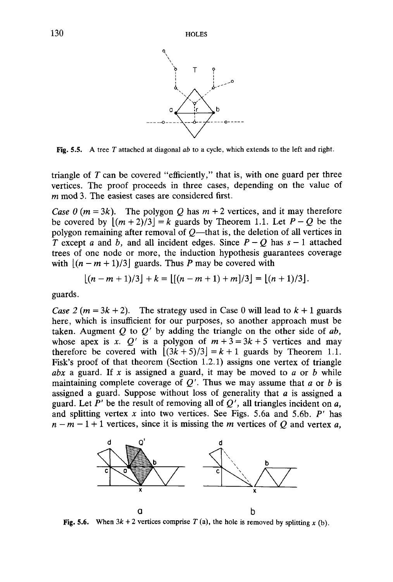

Fig. 5.5. A tree *T* attached at diagonal *ab* to a cycle, which extends to the left and right.

triangle of *T* can be covered "efficiently," that is, with one guard per three vertices. The proof proceeds in three cases, depending on the value of *m* mod 3. The easiest cases are considered first.

*Case 0* ( $m = 3k$ ). The polygon Q has  $m + 2$  vertices, and it may therefore be covered by  $|(m+2)/3| = k$  guards by Theorem 1.1. Let  $P - Q$  be the polygon remaining after removal of *Q*—that is, the deletion of all vertices in *T* except *a* and *b*, and all incident edges. Since  $P - Q$  has  $s - 1$  attached trees of one node or more, the induction hypothesis guarantees coverage with  $|(n - m + 1)/3|$  guards. Thus P may be covered with

$$
[(n-m+1)/3]+k=[[(n-m+1)+m]/3]=[n+1)/3].
$$

guards.

*Case 2 (m = 3k + 2).* The strategy used in Case 0 will lead to  $k + 1$  guards here, which is insufficient for our purposes, so another approach must be taken. Augment *Q* to *Q'* by adding the triangle on the other side of *ab,* whose apex is x.  $Q'$  is a polygon of  $m + 3 = 3k + 5$  vertices and may therefore be covered with  $[(3k+5)/3] = k+1$  guards by Theorem 1.1. Fisk's proof of that theorem (Section 1.2.1) assigns one vertex of triangle *abx* a guard. If x is assigned a guard, it may be moved to  $a$  or  $b$  while maintaining complete coverage of *Q'.* Thus we may assume that *a* or *b* is assigned a guard. Suppose without loss of generality that *a* is assigned a guard. Let *P'* be the result of removing all of *Q',* all triangles incident on *a,* and splitting vertex *x* into two vertices. See Figs. 5.6a and 5.6b. *P'* has  $n-m-1+1$  vertices, since it is missing the *m* vertices of *Q* and vertex *a*,



**Fig. 5.6.** When  $3k + 2$  vertices comprise  $T$  (a), the hole is removed by splitting  $x$  (b).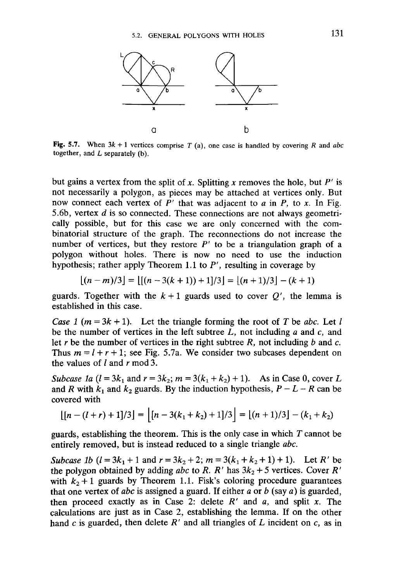

**Fig. 5.7.** When  $3k + 1$  vertices comprise *T* (a), one case is handled by covering *R* and *abc* together, and L separately (b).

but gains a vertex from the split of x. Splitting x removes the hole, but  $P'$  is not necessarily a polygon, as pieces may be attached at vertices only. But now connect each vertex of *P'* that was adjacent to *a* in *P,* to *x.* In Fig. 5.6b, vertex *d* is so connected. These connections are not always geometrically possible, but for this case we are only concerned with the combinatorial structure of the graph. The reconnections do not increase the number of vertices, but they restore  $P'$  to be a triangulation graph of a polygon without holes. There is now no need to use the induction hypothesis; rather apply Theorem 1.1 to *P',* resulting in coverage by

$$
[(n-m)/3] = [[(n-3(k+1))+1]/3] = [(n+1)/3] - (k+1)
$$

guards. Together with the  $k+1$  guards used to cover  $Q'$ , the lemma is established in this case.

*Case 1 (m = 3k + 1).* Let the triangle forming the root of *T* be *abc.* Let *l* be the number of vertices in the left subtree *L,* not including *a* and c, and let *r* be the number of vertices in the right subtree *R,* not including *b* and *c.* Thus  $m = l + r + 1$ ; see Fig. 5.7a. We consider two subcases dependent on the values of / and *r* mod 3.

*Subcase 1a*  $(l = 3k_1$  and  $r = 3k_2$ ;  $m = 3(k_1 + k_2) + 1$ . As in Case 0, cover L and *R* with  $k_1$  and  $k_2$  guards. By the induction hypothesis,  $P - L - R$  can be covered with

$$
\lfloor [n - (l + r) + 1]/3 \rfloor = \lfloor [n - 3(k_1 + k_2) + 1]/3 \rfloor = \lfloor (n + 1)/3 \rfloor - (k_1 + k_2)
$$

guards, establishing the theorem. This is the only case in which *T* cannot be entirely removed, but is instead reduced to a single triangle *abc.*

*Subcase 1b*  $(l = 3k_1 + 1$  and  $r = 3k_2 + 2$ ;  $m = 3(k_1 + k_2 + 1) + 1$ . Let *R'* be the polygon obtained by adding *abc* to *R. R'* has *3k2 +* 5 vertices. Cover *R'* with  $k_2 + 1$  guards by Theorem 1.1. Fisk's coloring procedure guarantees that one vertex of *abc* is assigned a guard. If either *a* or *b* (say a) is guarded, then proceed exactly as in Case 2: delete *R'* and *a,* and split *x.* The calculations are just as in Case 2, establishing the lemma. If on the other hand *c* is guarded, then delete *R'* and all triangles of *L* incident on c, as in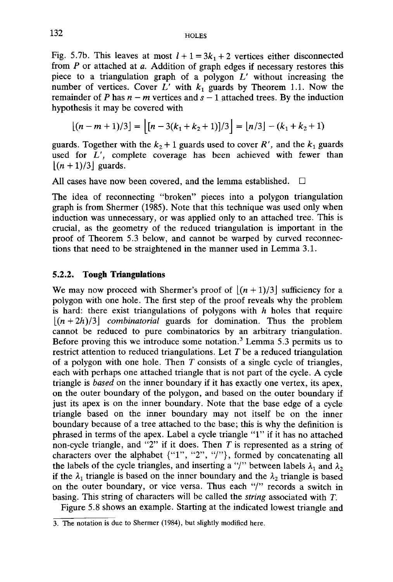Fig. 5.7b. This leaves at most  $l + 1 = 3k_1 + 2$  vertices either disconnected from *P* or attached at *a.* Addition of graph edges if necessary restores this piece to a triangulation graph of a polygon *L'* without increasing the number of vertices. Cover  $L'$  with  $k_1$  guards by Theorem 1.1. Now the remainder of *P* has  $n - m$  vertices and  $s - 1$  attached trees. By the induction hypothesis it may be covered with

$$
\lfloor (n-m+1)/3 \rfloor = \lfloor [n-3(k_1+k_2+1)]/3 \rfloor = \lfloor n/3 \rfloor - (k_1+k_2+1)
$$

guards. Together with the  $k_2 + 1$  guards used to cover  $R'$ , and the  $k_1$  guards used for *L',* complete coverage has been achieved with fewer than  $\lfloor (n + 1)/3 \rfloor$  guards.

All cases have now been covered, and the lemma established.  $\Box$ 

The idea of reconnecting "broken" pieces into a polygon triangulation graph is from Shermer (1985). Note that this technique was used only when induction was unnecessary, or was applied only to an attached tree. This is crucial, as the geometry of the reduced triangulation is important in the proof of Theorem 5.3 below, and cannot be warped by curved reconnections that need to be straightened in the manner used in Lemma 3.1.

### **5.2.2. Tough Triangulations**

We may now proceed with Shermer's proof of  $|(n+1)/3|$  sufficiency for a polygon with one hole. The first step of the proof reveals why the problem is hard: there exist triangulations of polygons with *h* holes that require  $[(n+2h)/3]$  *combinatorial* guards for domination. Thus the problem cannot be reduced to pure combinatorics by an arbitrary triangulation. Before proving this we introduce some notation.<sup>3</sup> Lemma 5.3 permits us to restrict attention to reduced triangulations. Let *T* be a reduced triangulation of a polygon with one hole. Then *T* consists of a single cycle of triangles, each with perhaps one attached triangle that is not part of the cycle. A cycle triangle is *based* on the inner boundary if it has exactly one vertex, its apex, on the outer boundary of the polygon, and based on the outer boundary if just its apex is on the inner boundary. Note that the base edge of a cycle triangle based on the inner boundary may not itself be on the inner boundary because of a tree attached to the base; this is why the definition is phrased in terms of the apex. Label a cycle triangle "1" if it has no attached non-cycle triangle, and "2" if it does. Then *T* is represented as a string of characters over the alphabet {"1", "2", "/"} , formed by concatenating all the labels of the cycle triangles, and inserting a "/" between labels  $\lambda_1$  and  $\lambda_2$ if the  $\lambda_1$  triangle is based on the inner boundary and the  $\lambda_2$  triangle is based on the outer boundary, or vice versa. Thus each "/" records a switch in basing. This string of characters will be called the *string* associated with *T.*

Figure 5.8 shows an example. Starting at the indicated lowest triangle and

<sup>3.</sup> The notation is due to Shermer (1984), but slightly modified here.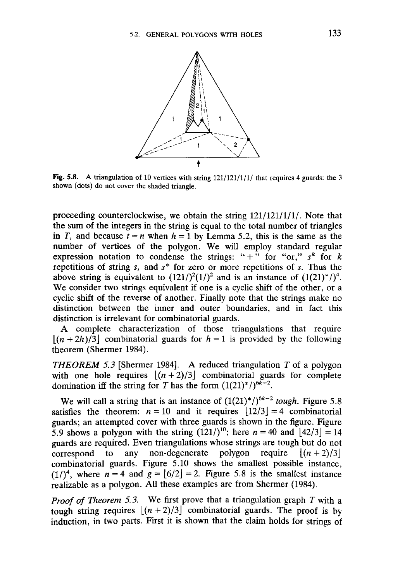

Fig. 5.8. A triangulation of 10 vertices with string  $121/121/1/1$  that requires 4 guards: the 3 shown (dots) do not cover the shaded triangle.

proceeding counterclockwise, we obtain the string 121/121/1/1/. Note that the sum of the integers in the string is equal to the total number of triangles in *T*, and because  $t = n$  when  $h = 1$  by Lemma 5.2, this is the same as the number of vertices of the polygon. We will employ standard regular expression notation to condense the strings: " $+$ " for "or,"  $s^k$  for k repetitions of string *s,* and *s\** for zero or more repetitions of *s.* Thus the above string is equivalent to  $(121/)^2(1/)^2$  and is an instance of  $(1(21)^*)^4$ . We consider two strings equivalent if one is a cyclic shift of the other, or a cyclic shift of the reverse of another. Finally note that the strings make no distinction between the inner and outer boundaries, and in fact this distinction is irrelevant for combinatorial guards.

A complete characterization of those triangulations that require  $|(n + 2h)/3|$  combinatorial guards for  $h = 1$  is provided by the following theorem (Shermer 1984).

*THEOREM 5.3* [Shermer 1984]. A reduced triangulation *T* of a polygon with one hole requires  $|(n+2)/3|$  combinatorial guards for complete domination iff the string for T has the form  $(1(21)^*)^{6k-2}$ .

We will call a string that is an instance of  $(1(21)^*)^{6k-2}$  tough. Figure 5.8 satisfies the theorem:  $n = 10$  and it requires  $\lfloor 12/3 \rfloor = 4$  combinatorial guards; an attempted cover with three guards is shown in the figure. Figure 5.9 shows a polygon with the string  $(121)^{10}$ ; here  $n = 40$  and  $\lfloor 42/3 \rfloor = 14$ guards are required. Even triangulations whose strings are tough but do not correspond to any non-degenerate polygon require  $|(n+2)/3|$ combinatorial guards. Figure 5.10 shows the smallest possible instance,  $(1/)^4$ , where  $n = 4$  and  $g = [6/2] = 2$ . Figure 5.8 is the smallest instance realizable as a polygon. All these examples are from Shermer (1984).

*Proof of Theorem 5.3.* We first prove that a triangulation graph *T* with a tough string requires  $[(n+2)/3]$  combinatorial guards. The proof is by induction, in two parts. First it is shown that the claim holds for strings of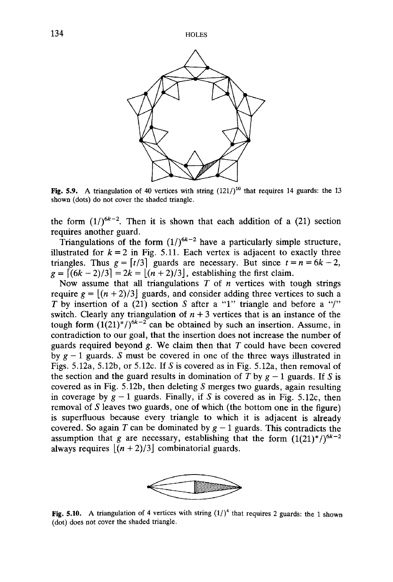

Fig. 5.9. A triangulation of 40 vertices with string  $(121/)^{10}$  that requires 14 guards: the 13 shown (dots) do not cover the shaded triangle.

the form  $(1/)^{6k-2}$ . Then it is shown that each addition of a (21) section requires another guard.

Triangulations of the form  $(1/)^{6k-2}$  have a particularly simple structure, illustrated for  $k = 2$  in Fig. 5.11. Each vertex is adjacent to exactly three triangles. Thus  $g = \lfloor t/3 \rfloor$  guards are necessary. But since  $t = n = 6k - 2$ ,  $g = [(6k - 2)/3] = 2k = [(n + 2)/3]$ , establishing the first claim.

Now assume that all triangulations *T* of *n* vertices with tough strings require  $g = |(n+2)/3|$  guards, and consider adding three vertices to such a *T* by insertion of a (21) section *S* after a "1" triangle and before a "/" switch. Clearly any triangulation of  $n + 3$  vertices that is an instance of the tough form  $(1(21)^*/)^{6k-2}$  can be obtained by such an insertion. Assume, in contradiction to our goal, that the insertion does not increase the number of guards required beyond *g.* We claim then that *T* could have been covered by  $g - 1$  guards. *S* must be covered in one of the three ways illustrated in Figs. 5.12a, 5.12b, or 5.12c. If *S* is covered as in Fig. 5.12a, then removal of the section and the guard results in domination of  $\overline{T}$  by  $g - 1$  guards. If  $S$  is covered as in Fig. 5.12b, then deleting *S* merges two guards, again resulting in coverage by  $g - 1$  guards. Finally, if *S* is covered as in Fig. 5.12c, then removal of *S* leaves two guards, one of which (the bottom one in the figure) is superfluous because every triangle to which it is adjacent is already covered. So again *T* can be dominated by  $g - 1$  guards. This contradicts the assumption that *g* are necessary, establishing that the form  $(1(21)^{*})^{6k-2}$ always requires  $|(n + 2)/3|$  combinatorial guards.



Fig. 5.10. A triangulation of 4 vertices with string  $(1/)^4$  that requires 2 guards: the 1 shown (dot) does not cover the shaded triangle.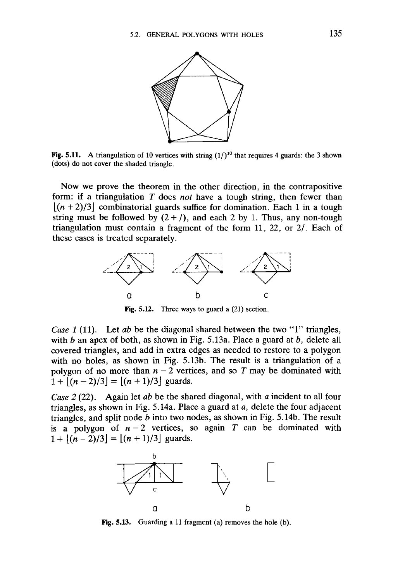

Fig. 5.11. A triangulation of 10 vertices with string  $(1/1)^{10}$  that requires 4 guards: the 3 shown (dots) do not cover the shaded triangle.

Now we prove the theorem in the other direction, in the contrapositive form: if a triangulation *T* does *not* have a tough string, then fewer than  $[(n+2)/3]$  combinatorial guards suffice for domination. Each 1 in a tough string must be followed by  $(2 + /)$ , and each 2 by 1. Thus, any non-tough triangulation must contain a fragment of the form 11, 22, or 2/. Each of these cases is treated separately.



Fig. 5.12. Three ways to guard a (21) section.

*Case 1* (11). Let *ab* be the diagonal shared between the two "1" triangles, with *b* an apex of both, as shown in Fig. 5.13a. Place a guard at *b,* delete all covered triangles, and add in extra edges as needed to restore to a polygon with no holes, as shown in Fig. 5.13b. The result is a triangulation of a polygon of no more than  $n-2$  vertices, and so T may be dominated with  $1 + |(n-2)/3| = |(n+1)/3|$  guards.

*Case 2* (22). Again let *ab* be the shared diagonal, with *a* incident to all four triangles, as shown in Fig. 5.14a. Place a guard at *a,* delete the four adjacent triangles, and split node *b* into two nodes, as shown in Fig. 5.14b. The result is a polygon of  $n-2$  vertices, so again T can be dominated with  $1+|(n-2)/3|=|(n + 1)/3|$  guards.



Fig. 5.13. Guarding a 11 fragment (a) removes the hole (b).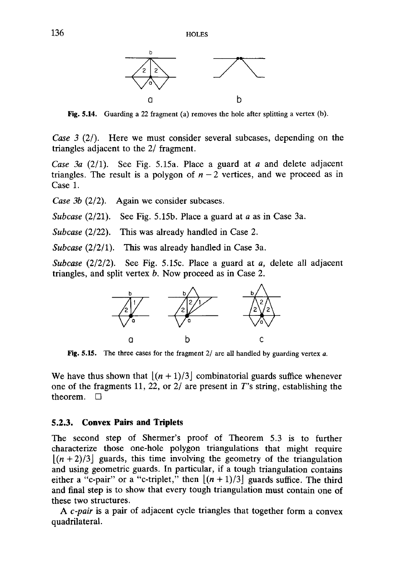

Fig. **5.14.** Guarding a 22 fragment (a) removes the hole after splitting a vertex (b).

*Case 3 (2/).* Here we must consider several subcases, depending on the triangles adjacent to the 2/ fragment.

*Case 3a* (2/1). See Fig. 5.15a. Place a guard at *a* and delete adjacent triangles. The result is a polygon of  $n-2$  vertices, and we proceed as in Case 1.

*Case 3b* (2/2). Again we consider subcases.

*Subcase* (2/21). See Fig. 5.15b. Place a guard at *a* as in Case 3a.

*Subcase* (2/22). This was already handled in Case 2.

*Subcase* (2/2/1). This was already handled in Case 3a.

*Subcase* (2/2/2). See Fig. 5.15c. Place a guard at *a,* delete all adjacent triangles, and split vertex *b.* Now proceed as in Case 2.



**Fig.** 5.15. The three cases for the fragment 2/ are all handled by guarding vertex *a.*

We have thus shown that  $|(n+1)/3|$  combinatorial guards suffice whenever one of the fragments 11, 22, or 2/ are present in T's string, establishing the theorem.  $\Box$ 

#### **5.2.3. Convex Pairs and Triplets**

The second step of Shermer's proof of Theorem 5.3 is to further characterize those one-hole polygon triangulations that might require  $[(n + 2)/3]$  guards, this time involving the geometry of the triangulation and using geometric guards. In particular, if a tough triangulation contains either a "c-pair" or a "c-triplet," then  $[(n+1)/3]$  guards suffice. The third and final step is to show that every tough triangulation must contain one of these two structures.

A *c-pair* is a pair of adjacent cycle triangles that together form a convex quadrilateral.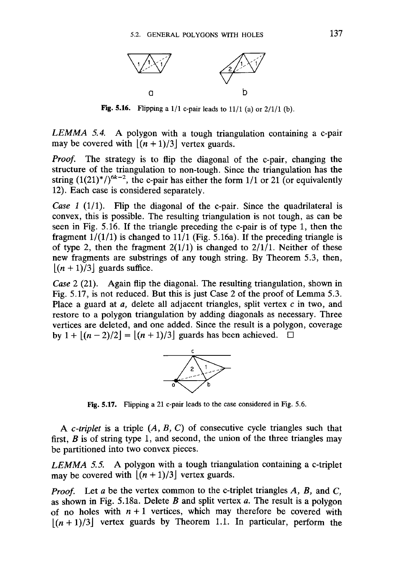

**Fig. 5.16.** Flipping a 1/1 c-pair leads to 11/1 (a) or 2/1/1 (b).

*LEMMA 5.4.* A polygon with a tough triangulation containing a c-pair may be covered with  $|(n+1)/3|$  vertex guards.

*Proof.* The strategy is to flip the diagonal of the c-pair, changing the structure of the triangulation to non-tough. Since the triangulation has the string  $(1(21)^*)^{6k-2}$ , the c-pair has either the form  $1/1$  or 21 (or equivalently 12). Each case is considered separately.

*Case 1* (1/1). Flip the diagonal of the c-pair. Since the quadrilateral is convex, this is possible. The resulting triangulation is not tough, as can be seen in Fig. 5.16. If the triangle preceding the c-pair is of type 1, then the fragment  $1/(1/1)$  is changed to  $11/1$  (Fig. 5.16a). If the preceding triangle is of type 2, then the fragment  $2(1/1)$  is changed to  $2/1/1$ . Neither of these new fragments are substrings of any tough string. By Theorem 5.3, then,  $|(n + 1)/3|$  guards suffice.

*Case* 2 (21). Again flip the diagonal. The resulting triangulation, shown in Fig. 5.17, is not reduced. But this is just Case 2 of the proof of Lemma 5.3. Place a guard at *a,* delete all adjacent triangles, split vertex *c* in two, and restore to a polygon triangulation by adding diagonals as necessary. Three vertices are deleted, and one added. Since the result is a polygon, coverage by  $1 + |(n-2)/2| = |(n+1)/3|$  guards has been achieved.  $\Box$ 



**Fig. 5.17.** Flipping a 21 c-pair leads to the case considered in Fig. 5.6.

A *c-triplet* is a triple *{A, B,* C) of consecutive cycle triangles such that first, *B* is of string type 1, and second, the union of the three triangles may be partitioned into two convex pieces.

*LEMMA 5.5.* A polygon with a tough triangulation containing a c-triplet may be covered with  $[(n + 1)/3]$  vertex guards.

*Proof.* Let *a* be the vertex common to the c-triplet triangles *A, B,* and C, as shown in Fig. 5.18a. Delete *B* and split vertex *a.* The result is a polygon of no holes with  $n+1$  vertices, which may therefore be covered with  $|(n+1)/3|$  vertex guards by Theorem 1.1. In particular, perform the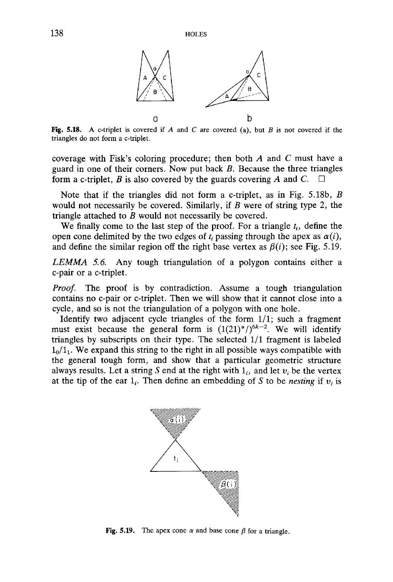

Fig. 5.18. A c-triplet is covered if *A* and *C* are covered (a), but *B* is not covered if the triangles do not form a c-triplet.

coverage with Fisk's coloring procedure; then both *A* and *C* must have a guard in one of their corners. Now put back *B.* Because the three triangles form a c-triplet, *B* is also covered by the guards covering *A* and *C*.  $\Box$ 

Note that if the triangles did not form a c-triplet, as in Fig. 5.18b, *B* would not necessarily be covered. Similarly, if *B* were of string type 2, the triangle attached to *B* would not necessarily be covered.

We finally come to the last step of the proof. For a triangle  $t_i$ , define the open cone delimited by the two edges of  $t_i$  passing through the apex as  $\alpha(i)$ , and define the similar region off the right base vertex as  $\beta(i)$ ; see Fig. 5.19.

*LEMMA 5.6.* Any tough triangulation of a polygon contains either a c-pair or a c-triplet.

*Proof.* The proof is by contradiction. Assume a tough triangulation contains no c-pair or c-triplet. Then we will show that it cannot close into a cycle, and so is not the triangulation of a polygon with one hole.

Identify two adjacent cycle triangles of the form 1/1; such a fragment must exist because the general form is  $(1(21)^*)^{6k-2}$ . We will identify triangles by subscripts on their type. The selected 1/1 fragment is labeled  $1<sub>0</sub>/1<sub>1</sub>$ . We expand this string to the right in all possible ways compatible with the general tough form, and show that a particular geometric structure always results. Let a string S end at the right with  $1<sub>i</sub>$ , and let  $v<sub>i</sub>$  be the vertex at the tip of the ear  $1_i$ . Then define an embedding of S to be *nesting* if  $v_i$  is



Fig. 5.19. The apex cone  $\alpha$  and base cone  $\beta$  for a triangle.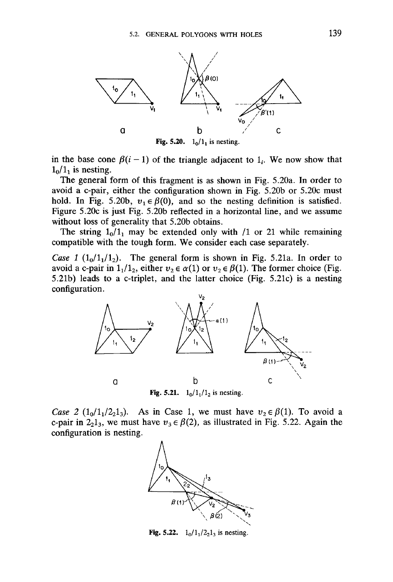

**Fig. 5.20.**  $1_0/1_1$  is nesting.

in the base cone  $\beta(i-1)$  of the triangle adjacent to  $1_i$ . We now show that  $1<sub>0</sub>/1<sub>1</sub>$  is nesting.

The general form of this fragment is as shown in Fig. 5.20a. In order to avoid a c-pair, either the configuration shown in Fig. 5.20b or 5.20c must hold. In Fig. 5.20b,  $v_1 \in \beta(0)$ , and so the nesting definition is satisfied. Figure 5.20c is just Fig. 5.20b reflected in a horizontal line, and we assume without loss of generality that 5.20b obtains.

The string  $1_0/1_1$  may be extended only with /1 or 21 while remaining compatible with the tough form. We consider each case separately.

*Case 1* ( $1_0/1_1/1_2$ ). The general form is shown in Fig. 5.21a. In order to avoid a c-pair in  $1_1/1_2$ , either  $v_2 \in \alpha(1)$  or  $v_2 \in \beta(1)$ . The former choice (Fig. 5.21b) leads to a c-triplet, and the latter choice (Fig. 5.21c) is a nesting configuration.



*Case 2* ( $1_0/1_1/2_21_3$ ). As in Case 1, we must have  $v_2 \in \beta(1)$ . To avoid a c-pair in  $2<sub>2</sub>1<sub>3</sub>$ , we must have  $v<sub>3</sub> \in \beta(2)$ , as illustrated in Fig. 5.22. Again the configuration is nesting.



**Fig. 5.22.**  $1_0/1_1/2_21_3$  is nesting.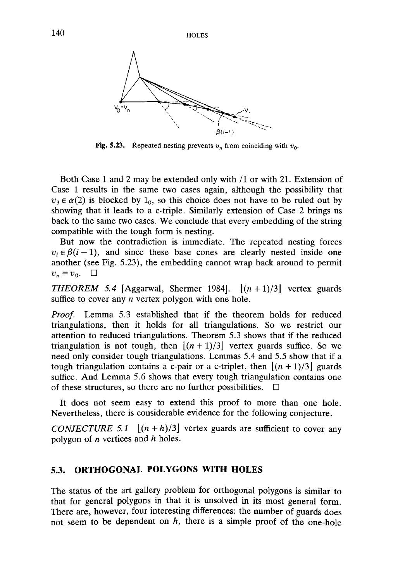

Fig. 5.23. Repeated nesting prevents  $v_n$  from coinciding with  $v_0$ .

Both Case 1 and 2 may be extended only with /I or with 21. Extension of Case 1 results in the same two cases again, although the possibility that  $v_3 \in \alpha(2)$  is blocked by  $1_0$ , so this choice does not have to be ruled out by showing that it leads to a c-triple. Similarly extension of Case 2 brings us back to the same two cases. We conclude that every embedding of the string compatible with the tough form is nesting.

But now the contradiction is immediate. The repeated nesting forces  $v_i \in \beta(i-1)$ , and since these base cones are clearly nested inside one another (see Fig. 5.23), the embedding cannot wrap back around to permit  $v_n = v_0$ .  $\Box$ 

*THEOREM* 5.4 [Aggarwal, Shermer 1984].  $|(n+1)/3|$  vertex guards suffice to cover any *n* vertex polygon with one hole.

*Proof.* Lemma 5.3 established that if the theorem holds for reduced triangulations, then it holds for all triangulations. So we restrict our attention to reduced triangulations. Theorem 5.3 shows that if the reduced triangulation is not tough, then  $[(n+1)/3]$  vertex guards suffice. So we need only consider tough triangulations. Lemmas 5.4 and 5.5 show that if a tough triangulation contains a c-pair or a c-triplet, then  $|(n+1)/3|$  guards suffice. And Lemma 5.6 shows that every tough triangulation contains one of these structures, so there are no further possibilities.  $\Box$ 

It does not seem easy to extend this proof to more than one hole. Nevertheless, there is considerable evidence for the following conjecture.

*CONJECTURE 5.1*  $[(n+h)/3]$  vertex guards are sufficient to cover any polygon of *n* vertices and *h* holes.

# **5.3. ORTHOGONAL POLYGONS WITH HOLES**

The status of the art gallery problem for orthogonal polygons is similar to that for general polygons in that it is unsolved in its most general form. There are, however, four interesting differences: the number of guards does not seem to be dependent on *h,* there is a simple proof of the one-hole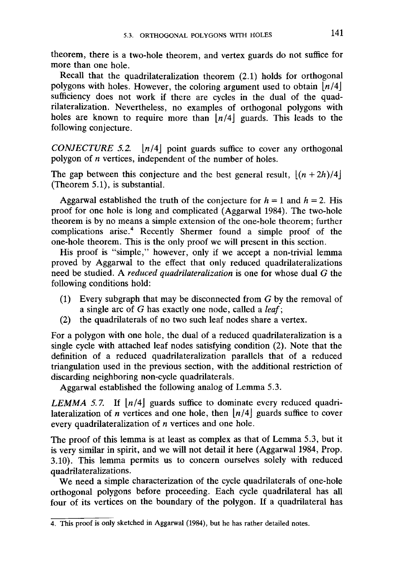theorem, there is a two-hole theorem, and vertex guards do not suffice for more than one hole.

Recall that the quadrilateralization theorem (2.1) holds for orthogonal polygons with holes. However, the coloring argument used to obtain *[n/4\* sufficiency does not work if there are cycles in the dual of the quadrilateralization. Nevertheless, no examples of orthogonal polygons with holes are known to require more than  $\lfloor n/4 \rfloor$  guards. This leads to the following conjecture.

*CONJECTURE 5.2.*  $\lfloor n/4 \rfloor$  point guards suffice to cover any orthogonal polygon of *n* vertices, independent of the number of holes.

The gap between this conjecture and the best general result,  $|(n + 2h)/4|$ (Theorem 5.1), is substantial.

Aggarwal established the truth of the conjecture for  $h = 1$  and  $h = 2$ . His proof for one hole is long and complicated (Aggarwal 1984). The two-hole theorem is by no means a simple extension of the one-hole theorem; further complications arise.<sup>4</sup> Recently Shermer found a simple proof of the one-hole theorem. This is the only proof we will present in this section.

His proof is "simple," however, only if we accept a non-trivial lemma proved by Aggarwal to the effect that only reduced quadrilateralizations need be studied. A *reduced quadrilateralization* is one for whose dual *G* the following conditions hold:

- (1) Every subgraph that may be disconnected from *G* by the removal of a single arc of *G* has exactly one node, called a *leaf;*
- (2) the quadrilaterals of no two such leaf nodes share a vertex.

For a polygon with one hole, the dual of a reduced quadrilateralization is a single cycle with attached leaf nodes satisfying condition (2). Note that the definition of a reduced quadrilateralization parallels that of a reduced triangulation used in the previous section, with the additional restriction of discarding neighboring non-cycle quadrilaterals.

Aggarwal established the following analog of Lemma 5.3.

*LEMMA 5.7.* If  $\lfloor n/4 \rfloor$  guards suffice to dominate every reduced quadrilateralization of *n* vertices and one hole, then  $\lfloor n/4 \rfloor$  guards suffice to cover every quadrilateralization of *n* vertices and one hole.

The proof of this lemma is at least as complex as that of Lemma 5.3, but it is very similar in spirit, and we will not detail it here (Aggarwal 1984, Prop. 3.10). This lemma permits us to concern ourselves solely with reduced quadrilateralizations.

We need a simple characterization of the cycle quadrilaterals of one-hole orthogonal polygons before proceeding. Each cycle quadrilateral has all four of its vertices on the boundary of the polygon. If a quadrilateral has

<sup>4.</sup> This proof is only sketched in Aggarwal (1984), but he has rather detailed notes.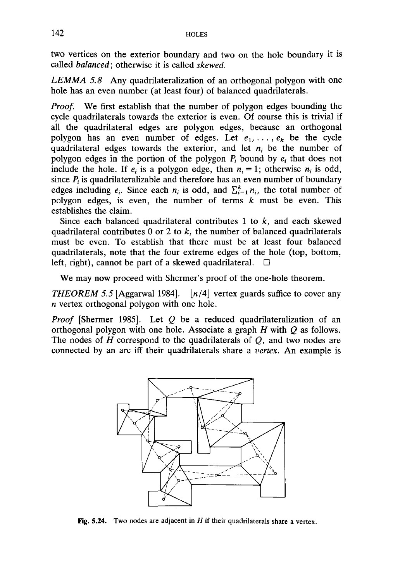two vertices on the exterior boundary and two on the hole boundary it is called *balanced;* otherwise it is called *skewed.*

*LEMMA 5.8* Any quadrilateralization of an orthogonal polygon with one hole has an even number (at least four) of balanced quadrilaterals.

*Proof.* We first establish that the number of polygon edges bounding the cycle quadrilaterals towards the exterior is even. Of course this is trivial if all the quadrilateral edges are polygon edges, because an orthogonal polygon has an even number of edges. Let  $e_1, \ldots, e_k$  be the cycle quadrilateral edges towards the exterior, and let  $n_i$  be the number of polygon edges in the portion of the polygon  $P_i$  bound by  $e_i$  that does not include the hole. If  $e_i$  is a polygon edge, then  $n_i = 1$ ; otherwise  $n_i$  is odd, since  $P_i$  is quadrilateralizable and therefore has an even number of boundary edges including  $e_i$ . Since each  $n_i$  is odd, and  $\sum_{i=1}^{k} n_i$ , the total number of polygon edges, is even, the number of terms *k* must be even. This establishes the claim.

Since each balanced quadrilateral contributes 1 to *k,* and each skewed quadrilateral contributes 0 or 2 to *k,* the number of balanced quadrilaterals must be even. To establish that there must be at least four balanced quadrilaterals, note that the four extreme edges of the hole (top, bottom, left, right), cannot be part of a skewed quadrilateral.  $\Box$ 

We may now proceed with Shermer's proof of the one-hole theorem.

*THEOREM 5.5* [Aggarwal 1984].  $\lfloor n/4 \rfloor$  vertex guards suffice to cover any *n* vertex orthogonal polygon with one hole.

*Proof* [Shermer 1985]. Let *Q* be a reduced quadrilateralization of an orthogonal polygon with one hole. Associate a graph *H* with *Q* as follows. The nodes of *H* correspond to the quadrilaterals of *Q,* and two nodes are connected by an arc iff their quadrilaterals share a *vertex.* An example is



Fig. 5.24. Two nodes are adjacent in *H* if their quadrilaterals share a vertex.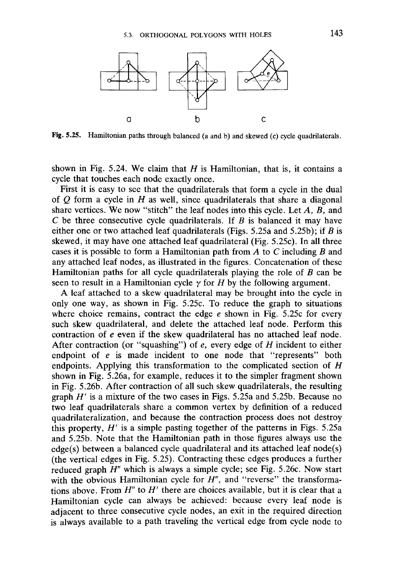

Fig. 5.25. Hamiltonian paths through balanced (a and b) and skewed (c) cycle quadrilaterals.

shown in Fig. 5.24. We claim that *H* is Hamiltonian, that is, it contains a cycle that touches each node exactly once.

First it is easy to see that the quadrilaterals that form a cycle in the dual of *Q* form a cycle in *H* as well, since quadrilaterals that share a diagonal share vertices. We now "stitch" the leaf nodes into this cycle. Let *A, B,* and C be three consecutive cycle quadrilaterals. If *B* is balanced it may have either one or two attached leaf quadrilaterals (Figs. 5.25a and 5.25b); if *B* is skewed, it may have one attached leaf quadrilateral (Fig. 5.25c). In all three cases it is possible to form a Hamiltonian path from *A* to C including *B* and any attached leaf nodes, as illustrated in the figures. Concatenation of these Hamiltonian paths for all cycle quadrilaterals playing the role of *B* can be seen to result in a Hamiltonian cycle  $\gamma$  for *H* by the following argument.

A leaf attached to a skew quadrilateral may be brought into the cycle in only one way, as shown in Fig. 5.25c. To reduce the graph to situations where choice remains, contract the edge *e* shown in Fig. 5.25c for every such skew quadrilateral, and delete the attached leaf node. Perform this contraction of *e* even if the skew quadrilateral has no attached leaf node. After contraction (or "squashing") of *e,* every edge of *H* incident to either endpoint of *e* is made incident to one node that "represents" both endpoints. Applying this transformation to the complicated section of *H* shown in Fig. 5.26a, for example, reduces it to the simpler fragment shown in Fig. 5.26b. After contraction of all such skew quadrilaterals, the resulting graph *H'* is a mixture of the two cases in Figs. 5.25a and 5.25b. Because no two leaf quadrilaterals share a common vertex by definition of a reduced quadrilateralization, and because the contraction process does not destroy this property, *H'* is a simple pasting together of the patterns in Figs. 5.25a and 5.25b. Note that the Hamiltonian path in those figures always use the edge(s) between a balanced cycle quadrilateral and its attached leaf node(s) (the vertical edges in Fig. 5.25). Contracting these edges produces a further reduced graph *H"* which is always a simple cycle; see Fig. 5.26c. Now start with the obvious Hamiltonian cycle for *H*", and "reverse" the transformations above. From *H"* to *H'* there are choices available, but it is clear that a Hamiltonian cycle can always be achieved: because every leaf node is adjacent to three consecutive cycle nodes, an exit in the required direction is always available to a path traveling the vertical edge from cycle node to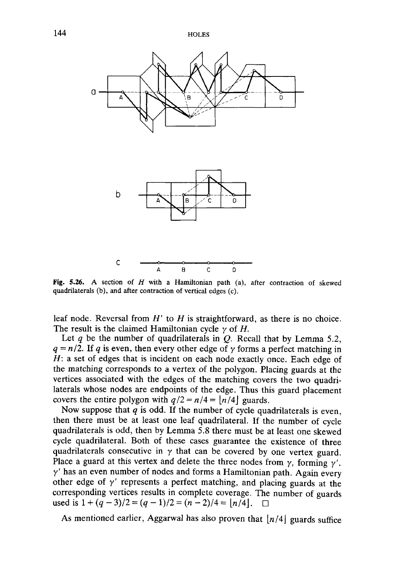144 HOLES



Fig. 5.26. A section of *H* with a Hamiltonian path (a), after contraction of skewed quadrilaterals (b), and after contraction of vertical edges (c).

leaf node. Reversal from *H'* to *H* is straightforward, as there is no choice. The result is the claimed Hamiltonian cycle y of *H.*

Let *q* be the number of quadrilaterals in *Q.* Recall that by Lemma 5.2,  $q = n/2$ . If q is even, then every other edge of  $\gamma$  forms a perfect matching in *H:* a set of edges that is incident on each node exactly once. Each edge of the matching corresponds to a vertex of the polygon. Placing guards at the vertices associated with the edges of the matching covers the two quadrilaterals whose nodes are endpoints of the edge. Thus this guard placement covers the entire polygon with  $q/2 = n/4 = |n/4|$  guards.

Now suppose that *q* is odd. If the number of cycle quadrilaterals is even, then there must be at least one leaf quadrilateral. If the number of cycle quadrilaterals is odd, then by Lemma 5.8 there must be at least one skewed cycle quadrilateral. Both of these cases guarantee the existence of three quadrilaterals consecutive in  $\gamma$  that can be covered by one vertex guard. Place a guard at this vertex and delete the three nodes from  $\gamma$ , forming  $\gamma'$ .  $\gamma'$  has an even number of nodes and forms a Hamiltonian path. Again every other edge of  $\gamma'$  represents a perfect matching, and placing guards at the corresponding vertices results in complete coverage. The number of guards used is  $1 + (q-3)/2 = (q-1)/2 = (n-2)/4 = |n/4|$ .  $\Box$ 

As mentioned earlier, Aggarwal has also proven that  $|n/4|$  guards suffice